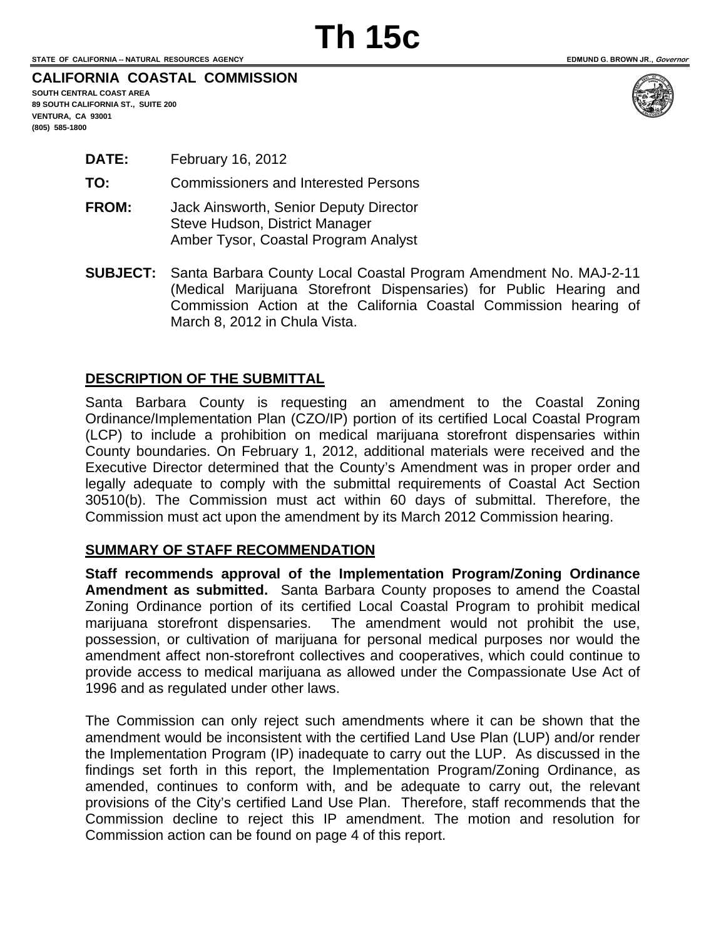#### **CALIFORNIA COASTAL COMMISSION**

**SOUTH CENTRAL COAST AREA 89 SOUTH CALIFORNIA ST., SUITE 200 VENTURA, CA 93001 (805) 585-1800** 



**DATE:** February 16, 2012

**TO:** Commissioners and Interested Persons

- **FROM:** Jack Ainsworth, Senior Deputy Director Steve Hudson, District Manager Amber Tysor, Coastal Program Analyst
- **SUBJECT:** Santa Barbara County Local Coastal Program Amendment No. MAJ-2-11 (Medical Marijuana Storefront Dispensaries) for Public Hearing and Commission Action at the California Coastal Commission hearing of March 8, 2012 in Chula Vista.

### **DESCRIPTION OF THE SUBMITTAL**

Santa Barbara County is requesting an amendment to the Coastal Zoning Ordinance/Implementation Plan (CZO/IP) portion of its certified Local Coastal Program (LCP) to include a prohibition on medical marijuana storefront dispensaries within County boundaries. On February 1, 2012, additional materials were received and the Executive Director determined that the County's Amendment was in proper order and legally adequate to comply with the submittal requirements of Coastal Act Section 30510(b). The Commission must act within 60 days of submittal. Therefore, the Commission must act upon the amendment by its March 2012 Commission hearing.

### **SUMMARY OF STAFF RECOMMENDATION**

**Staff recommends approval of the Implementation Program/Zoning Ordinance Amendment as submitted.** Santa Barbara County proposes to amend the Coastal Zoning Ordinance portion of its certified Local Coastal Program to prohibit medical marijuana storefront dispensaries. The amendment would not prohibit the use, possession, or cultivation of marijuana for personal medical purposes nor would the amendment affect non-storefront collectives and cooperatives, which could continue to provide access to medical marijuana as allowed under the Compassionate Use Act of 1996 and as regulated under other laws.

The Commission can only reject such amendments where it can be shown that the amendment would be inconsistent with the certified Land Use Plan (LUP) and/or render the Implementation Program (IP) inadequate to carry out the LUP. As discussed in the findings set forth in this report, the Implementation Program/Zoning Ordinance, as amended, continues to conform with, and be adequate to carry out, the relevant provisions of the City's certified Land Use Plan. Therefore, staff recommends that the Commission decline to reject this IP amendment. The motion and resolution for Commission action can be found on page 4 of this report.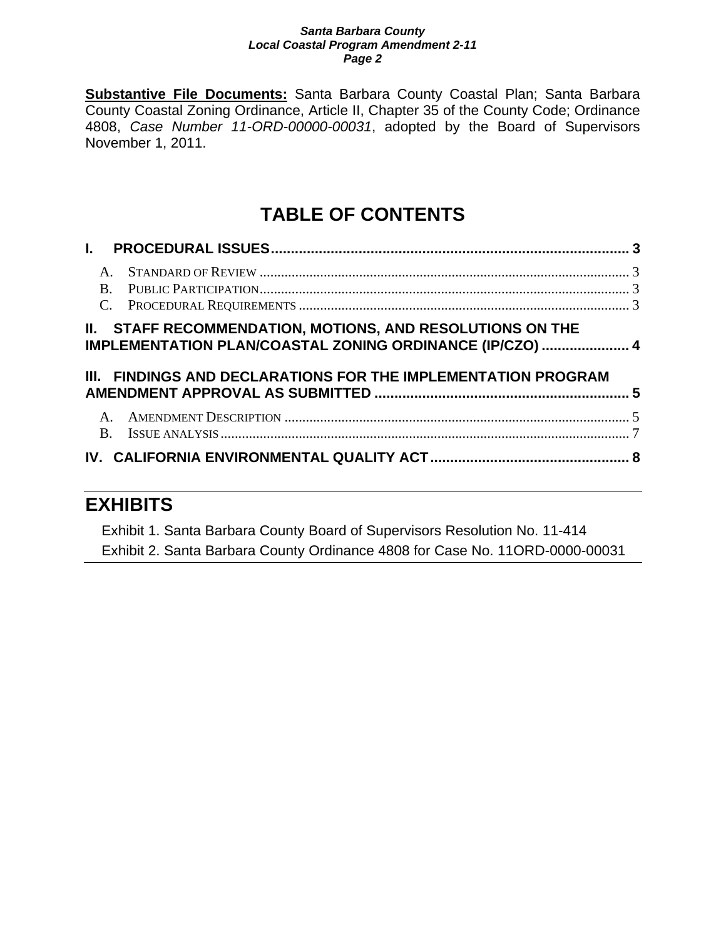**Substantive File Documents:** Santa Barbara County Coastal Plan; Santa Barbara County Coastal Zoning Ordinance, Article II, Chapter 35 of the County Code; Ordinance 4808, *Case Number 11-ORD-00000-00031*, adopted by the Board of Supervisors November 1, 2011.

# **TABLE OF CONTENTS**

| $\mathbf{L}$                |                                                                                                                              |  |
|-----------------------------|------------------------------------------------------------------------------------------------------------------------------|--|
| $\mathbf{B}$<br>$C_{\cdot}$ |                                                                                                                              |  |
|                             | <b>II. STAFF RECOMMENDATION, MOTIONS, AND RESOLUTIONS ON THE</b><br>IMPLEMENTATION PLAN/COASTAL ZONING ORDINANCE (IP/CZO)  4 |  |
|                             |                                                                                                                              |  |
|                             | III. FINDINGS AND DECLARATIONS FOR THE IMPLEMENTATION PROGRAM                                                                |  |
|                             |                                                                                                                              |  |

## **EXHIBITS**

Exhibit 1. Santa Barbara County Board of Supervisors Resolution No. 11-414 Exhibit 2. Santa Barbara County Ordinance 4808 for Case No. 11ORD-0000-00031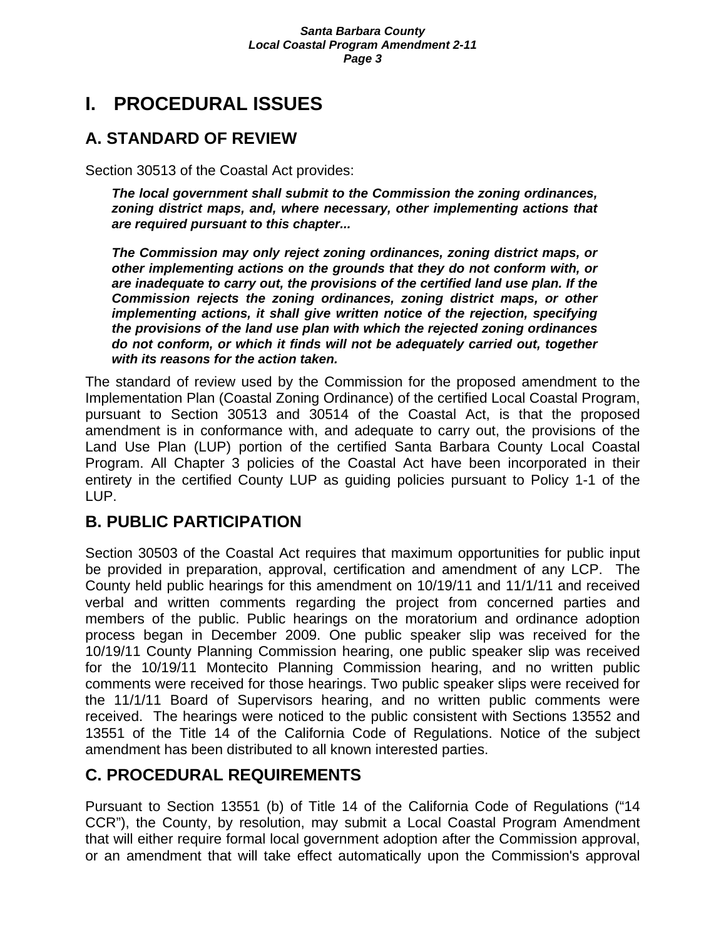# <span id="page-2-0"></span>**I. PROCEDURAL ISSUES**

## <span id="page-2-1"></span>**A. STANDARD OF REVIEW**

Section 30513 of the Coastal Act provides:

*The local government shall submit to the Commission the zoning ordinances, zoning district maps, and, where necessary, other implementing actions that are required pursuant to this chapter...* 

*The Commission may only reject zoning ordinances, zoning district maps, or other implementing actions on the grounds that they do not conform with, or are inadequate to carry out, the provisions of the certified land use plan. If the Commission rejects the zoning ordinances, zoning district maps, or other implementing actions, it shall give written notice of the rejection, specifying the provisions of the land use plan with which the rejected zoning ordinances do not conform, or which it finds will not be adequately carried out, together with its reasons for the action taken.* 

The standard of review used by the Commission for the proposed amendment to the Implementation Plan (Coastal Zoning Ordinance) of the certified Local Coastal Program, pursuant to Section 30513 and 30514 of the Coastal Act, is that the proposed amendment is in conformance with, and adequate to carry out, the provisions of the Land Use Plan (LUP) portion of the certified Santa Barbara County Local Coastal Program. All Chapter 3 policies of the Coastal Act have been incorporated in their entirety in the certified County LUP as guiding policies pursuant to Policy 1-1 of the LUP.

## <span id="page-2-2"></span>**B. PUBLIC PARTICIPATION**

Section 30503 of the Coastal Act requires that maximum opportunities for public input be provided in preparation, approval, certification and amendment of any LCP. The County held public hearings for this amendment on 10/19/11 and 11/1/11 and received verbal and written comments regarding the project from concerned parties and members of the public. Public hearings on the moratorium and ordinance adoption process began in December 2009. One public speaker slip was received for the 10/19/11 County Planning Commission hearing, one public speaker slip was received for the 10/19/11 Montecito Planning Commission hearing, and no written public comments were received for those hearings. Two public speaker slips were received for the 11/1/11 Board of Supervisors hearing, and no written public comments were received. The hearings were noticed to the public consistent with Sections 13552 and 13551 of the Title 14 of the California Code of Regulations. Notice of the subject amendment has been distributed to all known interested parties.

## <span id="page-2-3"></span>**C. PROCEDURAL REQUIREMENTS**

Pursuant to Section 13551 (b) of Title 14 of the California Code of Regulations ("14 CCR"), the County, by resolution, may submit a Local Coastal Program Amendment that will either require formal local government adoption after the Commission approval, or an amendment that will take effect automatically upon the Commission's approval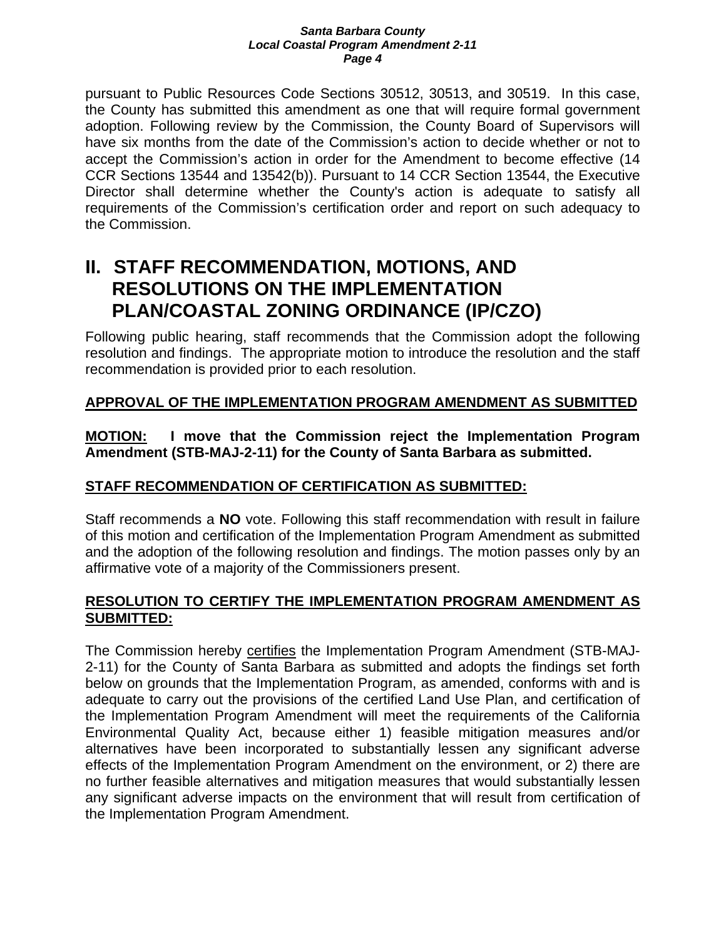pursuant to Public Resources Code Sections 30512, 30513, and 30519. In this case, the County has submitted this amendment as one that will require formal government adoption. Following review by the Commission, the County Board of Supervisors will have six months from the date of the Commission's action to decide whether or not to accept the Commission's action in order for the Amendment to become effective (14 CCR Sections 13544 and 13542(b)). Pursuant to 14 CCR Section 13544, the Executive Director shall determine whether the County's action is adequate to satisfy all requirements of the Commission's certification order and report on such adequacy to the Commission.

# <span id="page-3-0"></span>**II. STAFF RECOMMENDATION, MOTIONS, AND RESOLUTIONS ON THE IMPLEMENTATION PLAN/COASTAL ZONING ORDINANCE (IP/CZO)**

Following public hearing, staff recommends that the Commission adopt the following resolution and findings. The appropriate motion to introduce the resolution and the staff recommendation is provided prior to each resolution.

## **APPROVAL OF THE IMPLEMENTATION PROGRAM AMENDMENT AS SUBMITTED**

**MOTION: I move that the Commission reject the Implementation Program Amendment (STB-MAJ-2-11) for the County of Santa Barbara as submitted.** 

## **STAFF RECOMMENDATION OF CERTIFICATION AS SUBMITTED:**

Staff recommends a **NO** vote. Following this staff recommendation with result in failure of this motion and certification of the Implementation Program Amendment as submitted and the adoption of the following resolution and findings. The motion passes only by an affirmative vote of a majority of the Commissioners present.

## **RESOLUTION TO CERTIFY THE IMPLEMENTATION PROGRAM AMENDMENT AS SUBMITTED:**

The Commission hereby certifies the Implementation Program Amendment (STB-MAJ-2-11) for the County of Santa Barbara as submitted and adopts the findings set forth below on grounds that the Implementation Program, as amended, conforms with and is adequate to carry out the provisions of the certified Land Use Plan, and certification of the Implementation Program Amendment will meet the requirements of the California Environmental Quality Act, because either 1) feasible mitigation measures and/or alternatives have been incorporated to substantially lessen any significant adverse effects of the Implementation Program Amendment on the environment, or 2) there are no further feasible alternatives and mitigation measures that would substantially lessen any significant adverse impacts on the environment that will result from certification of the Implementation Program Amendment.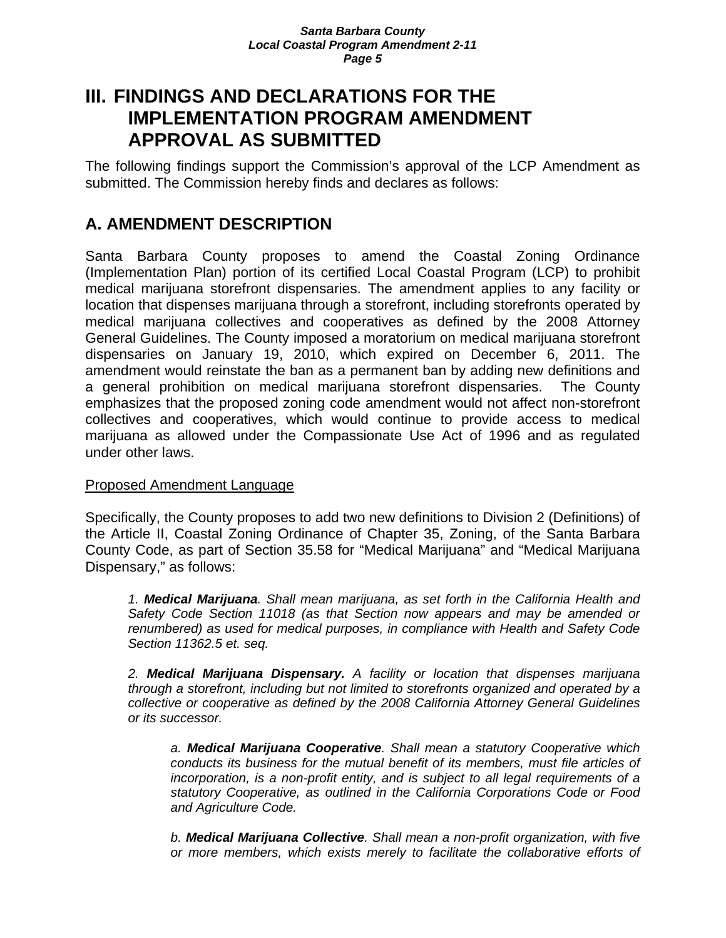# <span id="page-4-0"></span>**III. FINDINGS AND DECLARATIONS FOR THE IMPLEMENTATION PROGRAM AMENDMENT APPROVAL AS SUBMITTED**

The following findings support the Commission's approval of the LCP Amendment as submitted. The Commission hereby finds and declares as follows:

## <span id="page-4-1"></span>**A. AMENDMENT DESCRIPTION**

Santa Barbara County proposes to amend the Coastal Zoning Ordinance (Implementation Plan) portion of its certified Local Coastal Program (LCP) to prohibit medical marijuana storefront dispensaries. The amendment applies to any facility or location that dispenses marijuana through a storefront, including storefronts operated by medical marijuana collectives and cooperatives as defined by the 2008 Attorney General Guidelines. The County imposed a moratorium on medical marijuana storefront dispensaries on January 19, 2010, which expired on December 6, 2011. The amendment would reinstate the ban as a permanent ban by adding new definitions and a general prohibition on medical marijuana storefront dispensaries. The County emphasizes that the proposed zoning code amendment would not affect non-storefront collectives and cooperatives, which would continue to provide access to medical marijuana as allowed under the Compassionate Use Act of 1996 and as regulated under other laws.

### Proposed Amendment Language

Specifically, the County proposes to add two new definitions to Division 2 (Definitions) of the Article II, Coastal Zoning Ordinance of Chapter 35, Zoning, of the Santa Barbara County Code, as part of Section 35.58 for "Medical Marijuana" and "Medical Marijuana Dispensary," as follows:

*1. Medical Marijuana. Shall mean marijuana, as set forth in the California Health and Safety Code Section 11018 (as that Section now appears and may be amended or renumbered) as used for medical purposes, in compliance with Health and Safety Code Section 11362.5 et. seq.* 

*2. Medical Marijuana Dispensary. A facility or location that dispenses marijuana through a storefront, including but not limited to storefronts organized and operated by a collective or cooperative as defined by the 2008 California Attorney General Guidelines or its successor.* 

*a. Medical Marijuana Cooperative. Shall mean a statutory Cooperative which conducts its business for the mutual benefit of its members, must file articles of incorporation, is a non-profit entity, and is subject to all legal requirements of a statutory Cooperative, as outlined in the California Corporations Code or Food and Agriculture Code.* 

*b. Medical Marijuana Collective. Shall mean a non-profit organization, with five or more members, which exists merely to facilitate the collaborative efforts of*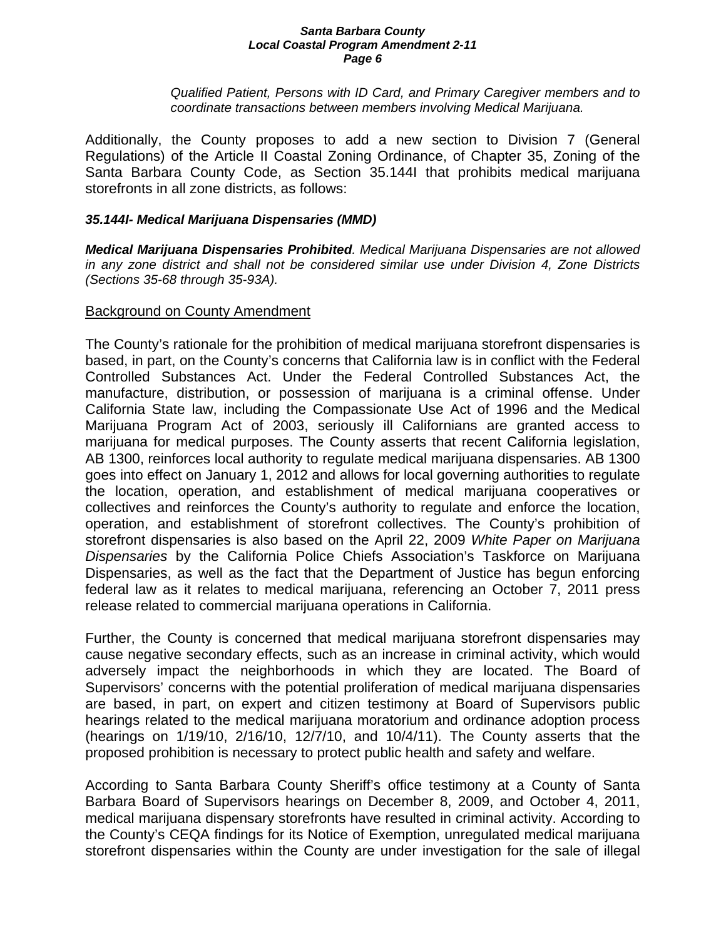*Qualified Patient, Persons with ID Card, and Primary Caregiver members and to coordinate transactions between members involving Medical Marijuana.* 

Additionally, the County proposes to add a new section to Division 7 (General Regulations) of the Article II Coastal Zoning Ordinance, of Chapter 35, Zoning of the Santa Barbara County Code, as Section 35.144I that prohibits medical marijuana storefronts in all zone districts, as follows:

### *35.144I- Medical Marijuana Dispensaries (MMD)*

*Medical Marijuana Dispensaries Prohibited. Medical Marijuana Dispensaries are not allowed in any zone district and shall not be considered similar use under Division 4, Zone Districts (Sections 35-68 through 35-93A).* 

### Background on County Amendment

The County's rationale for the prohibition of medical marijuana storefront dispensaries is based, in part, on the County's concerns that California law is in conflict with the Federal Controlled Substances Act. Under the Federal Controlled Substances Act, the manufacture, distribution, or possession of marijuana is a criminal offense. Under California State law, including the Compassionate Use Act of 1996 and the Medical Marijuana Program Act of 2003, seriously ill Californians are granted access to marijuana for medical purposes. The County asserts that recent California legislation, AB 1300, reinforces local authority to regulate medical marijuana dispensaries. AB 1300 goes into effect on January 1, 2012 and allows for local governing authorities to regulate the location, operation, and establishment of medical marijuana cooperatives or collectives and reinforces the County's authority to regulate and enforce the location, operation, and establishment of storefront collectives. The County's prohibition of storefront dispensaries is also based on the April 22, 2009 *White Paper on Marijuana Dispensaries* by the California Police Chiefs Association's Taskforce on Marijuana Dispensaries, as well as the fact that the Department of Justice has begun enforcing federal law as it relates to medical marijuana, referencing an October 7, 2011 press release related to commercial marijuana operations in California.

Further, the County is concerned that medical marijuana storefront dispensaries may cause negative secondary effects, such as an increase in criminal activity, which would adversely impact the neighborhoods in which they are located. The Board of Supervisors' concerns with the potential proliferation of medical marijuana dispensaries are based, in part, on expert and citizen testimony at Board of Supervisors public hearings related to the medical marijuana moratorium and ordinance adoption process (hearings on 1/19/10, 2/16/10, 12/7/10, and 10/4/11). The County asserts that the proposed prohibition is necessary to protect public health and safety and welfare.

According to Santa Barbara County Sheriff's office testimony at a County of Santa Barbara Board of Supervisors hearings on December 8, 2009, and October 4, 2011, medical marijuana dispensary storefronts have resulted in criminal activity. According to the County's CEQA findings for its Notice of Exemption, unregulated medical marijuana storefront dispensaries within the County are under investigation for the sale of illegal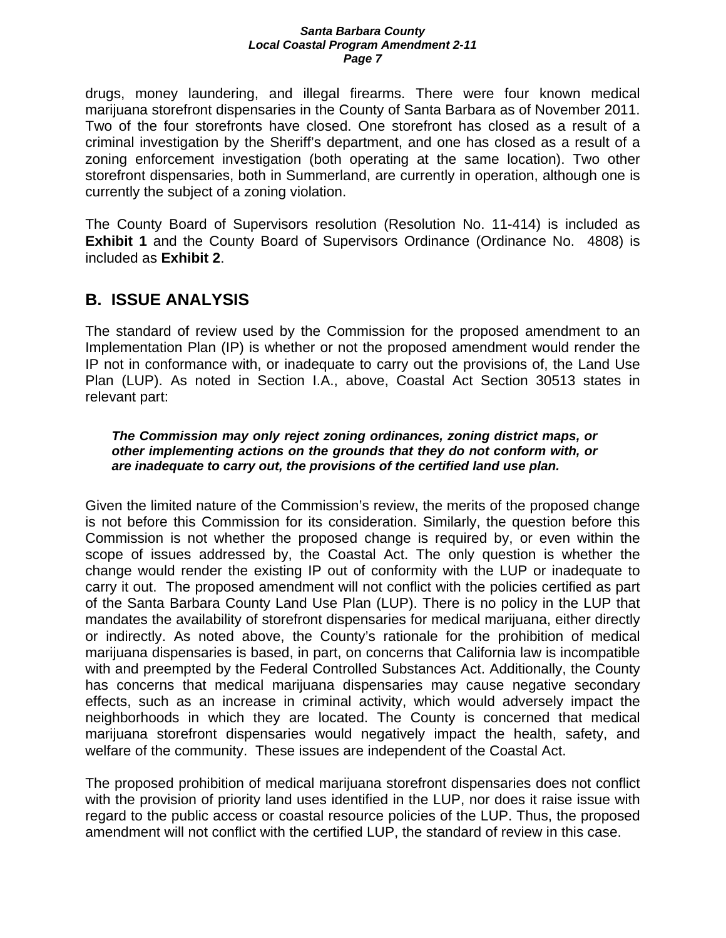drugs, money laundering, and illegal firearms. There were four known medical marijuana storefront dispensaries in the County of Santa Barbara as of November 2011. Two of the four storefronts have closed. One storefront has closed as a result of a criminal investigation by the Sheriff's department, and one has closed as a result of a zoning enforcement investigation (both operating at the same location). Two other storefront dispensaries, both in Summerland, are currently in operation, although one is currently the subject of a zoning violation.

The County Board of Supervisors resolution (Resolution No. 11-414) is included as **Exhibit 1** and the County Board of Supervisors Ordinance (Ordinance No. 4808) is included as **Exhibit 2**.

## <span id="page-6-0"></span>**B. ISSUE ANALYSIS**

The standard of review used by the Commission for the proposed amendment to an Implementation Plan (IP) is whether or not the proposed amendment would render the IP not in conformance with, or inadequate to carry out the provisions of, the Land Use Plan (LUP). As noted in Section I.A., above, Coastal Act Section 30513 states in relevant part:

### *The Commission may only reject zoning ordinances, zoning district maps, or other implementing actions on the grounds that they do not conform with, or are inadequate to carry out, the provisions of the certified land use plan.*

Given the limited nature of the Commission's review, the merits of the proposed change is not before this Commission for its consideration. Similarly, the question before this Commission is not whether the proposed change is required by, or even within the scope of issues addressed by, the Coastal Act. The only question is whether the change would render the existing IP out of conformity with the LUP or inadequate to carry it out. The proposed amendment will not conflict with the policies certified as part of the Santa Barbara County Land Use Plan (LUP). There is no policy in the LUP that mandates the availability of storefront dispensaries for medical marijuana, either directly or indirectly. As noted above, the County's rationale for the prohibition of medical marijuana dispensaries is based, in part, on concerns that California law is incompatible with and preempted by the Federal Controlled Substances Act. Additionally, the County has concerns that medical marijuana dispensaries may cause negative secondary effects, such as an increase in criminal activity, which would adversely impact the neighborhoods in which they are located. The County is concerned that medical marijuana storefront dispensaries would negatively impact the health, safety, and welfare of the community. These issues are independent of the Coastal Act.

The proposed prohibition of medical marijuana storefront dispensaries does not conflict with the provision of priority land uses identified in the LUP, nor does it raise issue with regard to the public access or coastal resource policies of the LUP. Thus, the proposed amendment will not conflict with the certified LUP, the standard of review in this case.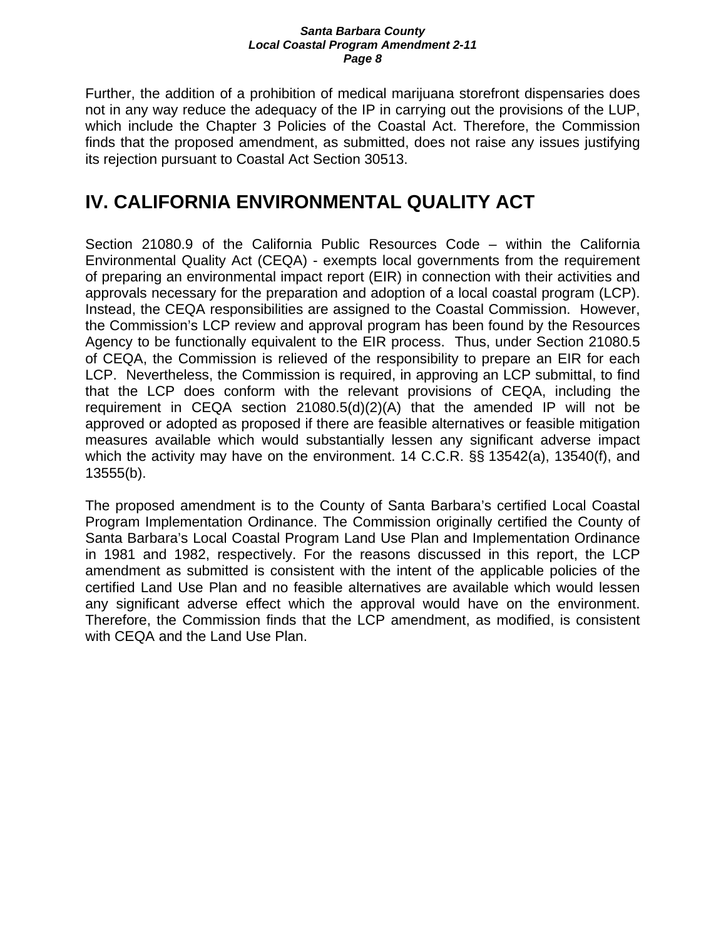Further, the addition of a prohibition of medical marijuana storefront dispensaries does not in any way reduce the adequacy of the IP in carrying out the provisions of the LUP, which include the Chapter 3 Policies of the Coastal Act. Therefore, the Commission finds that the proposed amendment, as submitted, does not raise any issues justifying its rejection pursuant to Coastal Act Section 30513.

# <span id="page-7-0"></span>**IV. CALIFORNIA ENVIRONMENTAL QUALITY ACT**

Section 21080.9 of the California Public Resources Code – within the California Environmental Quality Act (CEQA) - exempts local governments from the requirement of preparing an environmental impact report (EIR) in connection with their activities and approvals necessary for the preparation and adoption of a local coastal program (LCP). Instead, the CEQA responsibilities are assigned to the Coastal Commission. However, the Commission's LCP review and approval program has been found by the Resources Agency to be functionally equivalent to the EIR process. Thus, under Section 21080.5 of CEQA, the Commission is relieved of the responsibility to prepare an EIR for each LCP. Nevertheless, the Commission is required, in approving an LCP submittal, to find that the LCP does conform with the relevant provisions of CEQA, including the requirement in CEQA section 21080.5(d)(2)(A) that the amended IP will not be approved or adopted as proposed if there are feasible alternatives or feasible mitigation measures available which would substantially lessen any significant adverse impact which the activity may have on the environment. 14 C.C.R. §§ 13542(a), 13540(f), and 13555(b).

The proposed amendment is to the County of Santa Barbara's certified Local Coastal Program Implementation Ordinance. The Commission originally certified the County of Santa Barbara's Local Coastal Program Land Use Plan and Implementation Ordinance in 1981 and 1982, respectively. For the reasons discussed in this report, the LCP amendment as submitted is consistent with the intent of the applicable policies of the certified Land Use Plan and no feasible alternatives are available which would lessen any significant adverse effect which the approval would have on the environment. Therefore, the Commission finds that the LCP amendment, as modified, is consistent with CEQA and the Land Use Plan.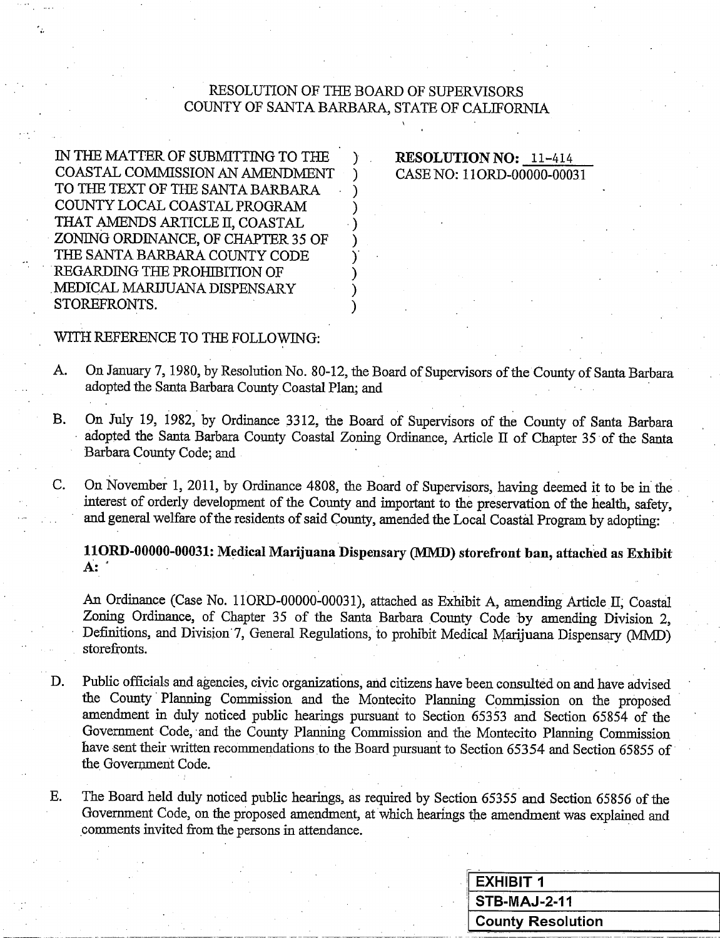### RESOLUTION OF THE BOARD OF SUPERVISORS COUNTY OF SANTA BARBARA, STATE OF CALIFORNIA

IN THE MATTER OF SUBMITTING TO THE COASTAL COMMISSION AN AMENDMENT TO THE TEXT OF THE SANTA BARBARA COUNTY LOCAL COASTAL PROGRAM THAT AMENDS ARTICLE II, COASTAL ZONING ORDINANCE, OF CHAPTER 35 OF THE SANTA BARBARA COUNTY CODE REGARDING THE PROHIBITION OF MEDICAL MARIJUANA DISPENSARY STOREFRONTS.

#### RESOLUTION NO: 11-414 CASE NO: 11ORD-00000-00031

- WITH REFERENCE TO THE FOLLOWING:
- On January 7, 1980, by Resolution No. 80-12, the Board of Supervisors of the County of Santa Barbara A. adopted the Santa Barbara County Coastal Plan; and

λ

- **B.** On July 19, 1982, by Ordinance 3312, the Board of Supervisors of the County of Santa Barbara adopted the Santa Barbara County Coastal Zoning Ordinance, Article II of Chapter 35 of the Santa Barbara County Code; and
- $C_{\cdot}$ On November 1, 2011, by Ordinance 4808, the Board of Supervisors, having deemed it to be in the interest of orderly development of the County and important to the preservation of the health, safety, and general welfare of the residents of said County, amended the Local Coastal Program by adopting:

11ORD-00000-00031: Medical Marijuana Dispensary (MMD) storefront ban, attached as Exhibit  $A:$ 

An Ordinance (Case No. 11ORD-00000-00031), attached as Exhibit A, amending Article II, Coastal Zoning Ordinance, of Chapter 35 of the Santa Barbara County Code by amending Division 2, Definitions, and Division 7, General Regulations, to prohibit Medical Marijuana Dispensary (MMD) storefronts.

- D. Public officials and agencies, civic organizations, and citizens have been consulted on and have advised the County Planning Commission and the Montecito Planning Commission on the proposed amendment in duly noticed public hearings pursuant to Section 65353 and Section 65854 of the Government Code, and the County Planning Commission and the Montecito Planning Commission have sent their written recommendations to the Board pursuant to Section 65354 and Section 65855 of the Government Code.
- The Board held duly noticed public hearings, as required by Section 65355 and Section 65856 of the Ε. Government Code, on the proposed amendment, at which hearings the amendment was explained and comments invited from the persons in attendance.

|  | <b>EXHIBIT 1</b>         |  |  |
|--|--------------------------|--|--|
|  | <b>STB-MAJ-2-11</b>      |  |  |
|  | <b>County Resolution</b> |  |  |
|  |                          |  |  |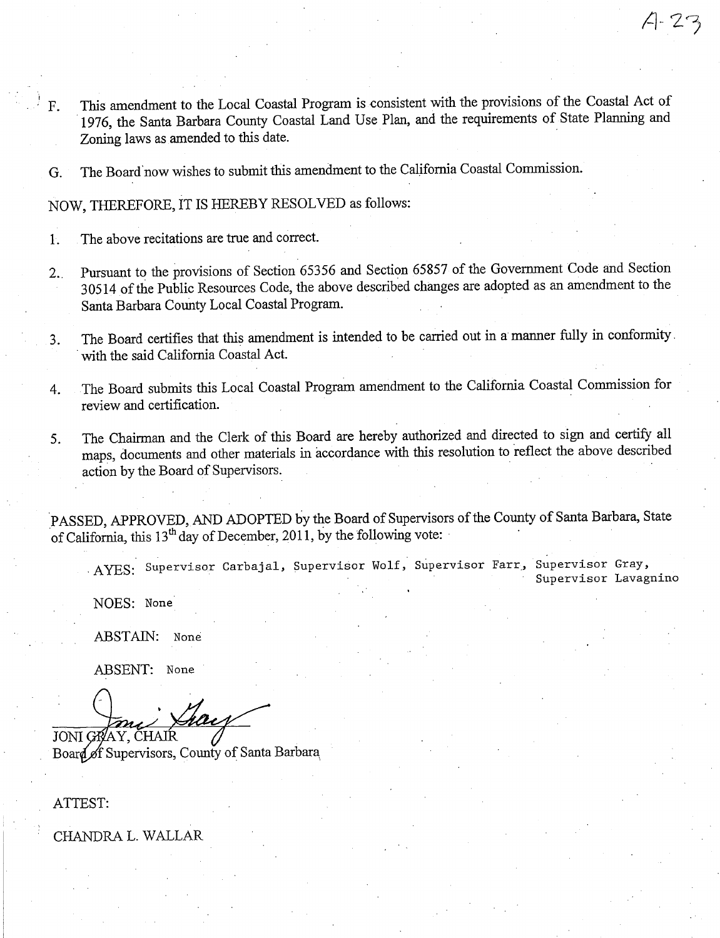- This amendment to the Local Coastal Program is consistent with the provisions of the Coastal Act of  $F_{\perp}$ 1976, the Santa Barbara County Coastal Land Use Plan, and the requirements of State Planning and Zoning laws as amended to this date.
- The Board now wishes to submit this amendment to the California Coastal Commission. G.

NOW, THEREFORE, IT IS HEREBY RESOLVED as follows:

- The above recitations are true and correct.  $1<sup>2</sup>$
- Pursuant to the provisions of Section 65356 and Section 65857 of the Government Code and Section  $2.1$ 30514 of the Public Resources Code, the above described changes are adopted as an amendment to the Santa Barbara County Local Coastal Program.
- The Board certifies that this amendment is intended to be carried out in a manner fully in conformity. 3. with the said California Coastal Act.
- The Board submits this Local Coastal Program amendment to the California Coastal Commission for  $\overline{4}$ . review and certification.
- The Chairman and the Clerk of this Board are hereby authorized and directed to sign and certify all 5. maps, documents and other materials in accordance with this resolution to reflect the above described action by the Board of Supervisors.

PASSED, APPROVED, AND ADOPTED by the Board of Supervisors of the County of Santa Barbara, State of California, this  $13<sup>th</sup>$  day of December, 2011, by the following vote:

AYES: Supervisor Carbajal, Supervisor Wolf, Supervisor Farr, Supervisor Gray, Supervisor Lavagnino

NOES: None

ABSTAIN: None

ABSENT: None

JONI GRAY CHAIR

Board of Supervisors, County of Santa Barbara

ATTEST:

CHANDRA L. WALLAR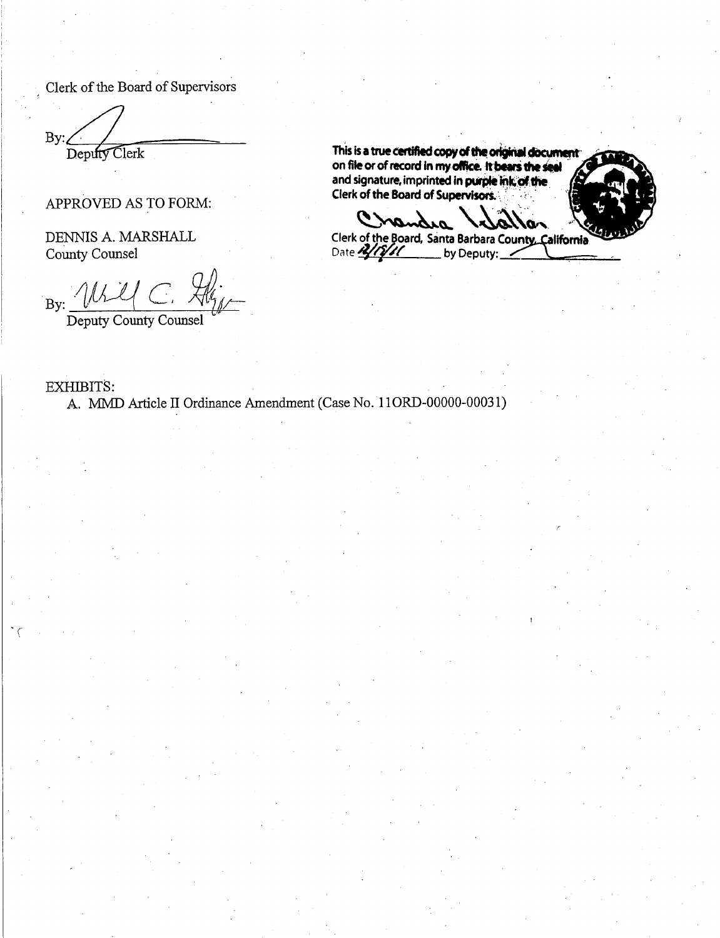Clerk of the Board of Supervisors

 $By: \angle$ Deputy Clerk

APPROVED AS TO FORM:

DENNIS A. MARSHALL County Counsel

By:  $\mathcal{U}\setminus\mathcal{U}\subset\mathcal{H}_{\mathcal{U}}$ 

Deputy County Counsel

This is a true certified copy of the original document<br>on file or of record in my office. It bears the seal and signature, imprinted in purple ink, of the Clerk of the Board of Supervisors.

Crandia Clerk of the Board, Santa Barbara County, California Date 2/15/11 by Deputy:

n.

**EXHIBITS:** A. MMD Article II Ordinance Amendment (Case No. 11ORD-00000-00031)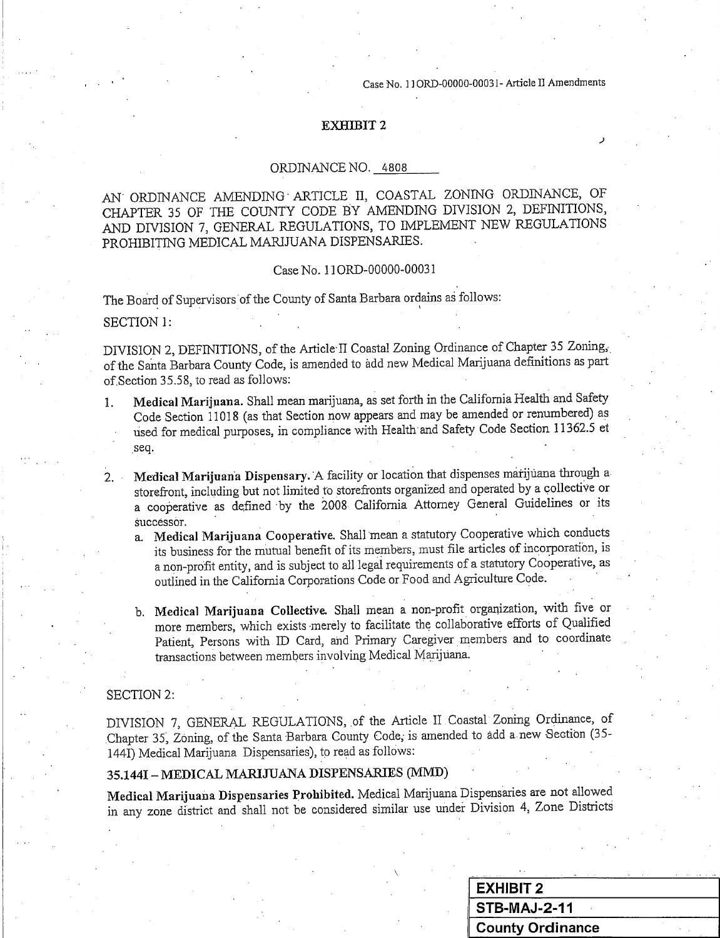Case No. 11ORD-00000-00031- Article II Amendments

#### **EXHIBIT 2**

#### ORDINANCE NO. 4808

AN ORDINANCE AMENDING ARTICLE II, COASTAL ZONING ORDINANCE, OF CHAPTER 35 OF THE COUNTY CODE BY AMENDING DIVISION 2, DEFINITIONS, AND DIVISION 7, GENERAL REGULATIONS, TO IMPLEMENT NEW REGULATIONS PROHIBITING MEDICAL MARIJUANA DISPENSARIES.

#### Case No. 11ORD-00000-00031

The Board of Supervisors of the County of Santa Barbara ordains as follows:

SECTION 1:

DIVISION 2, DEFINITIONS, of the Article II Coastal Zoning Ordinance of Chapter 35 Zoning, of the Santa Barbara County Code, is amended to add new Medical Marijuana definitions as part of Section 35.58, to read as follows:

- Medical Marijuana. Shall mean marijuana, as set forth in the California Health and Safety  $1_{-}$ Code Section 11018 (as that Section now appears and may be amended or renumbered) as used for medical purposes, in compliance with Health and Safety Code Section 11362.5 et seq.
- Medical Marijuana Dispensary. A facility or location that dispenses marijuana through a  $2.$ storefront, including but not limited to storefronts organized and operated by a collective or a cooperative as defined by the 2008 California Attorney General Guidelines or its successor.
	- a. Medical Marijuana Cooperative. Shall mean a statutory Cooperative which conducts its business for the mutual benefit of its members, must file articles of incorporation, is a non-profit entity, and is subject to all legal requirements of a statutory Cooperative, as outlined in the California Corporations Code or Food and Agriculture Code.
	- b. Medical Marijuana Collective. Shall mean a non-profit organization, with five or more members, which exists merely to facilitate the collaborative efforts of Qualified Patient, Persons with ID Card, and Primary Caregiver members and to coordinate transactions between members involving Medical Marijuana.

#### **SECTION 2:**

DIVISION 7, GENERAL REGULATIONS, of the Article II Coastal Zoning Ordinance, of Chapter 35, Zoning, of the Santa Barbara County Code, is amended to add a new Section (35-144I) Medical Marijuana Dispensaries), to read as follows:

#### 35.144I - MEDICAL MARIJUANA DISPENSARIES (MMD)

Medical Marijuana Dispensaries Prohibited. Medical Marijuana Dispensaries are not allowed in any zone district and shall not be considered similar use under Division 4, Zone Districts

| <b>EXHIBIT 2</b>   |  |
|--------------------|--|
| STB-MAJ-2-11       |  |
| ∥ County Ordinance |  |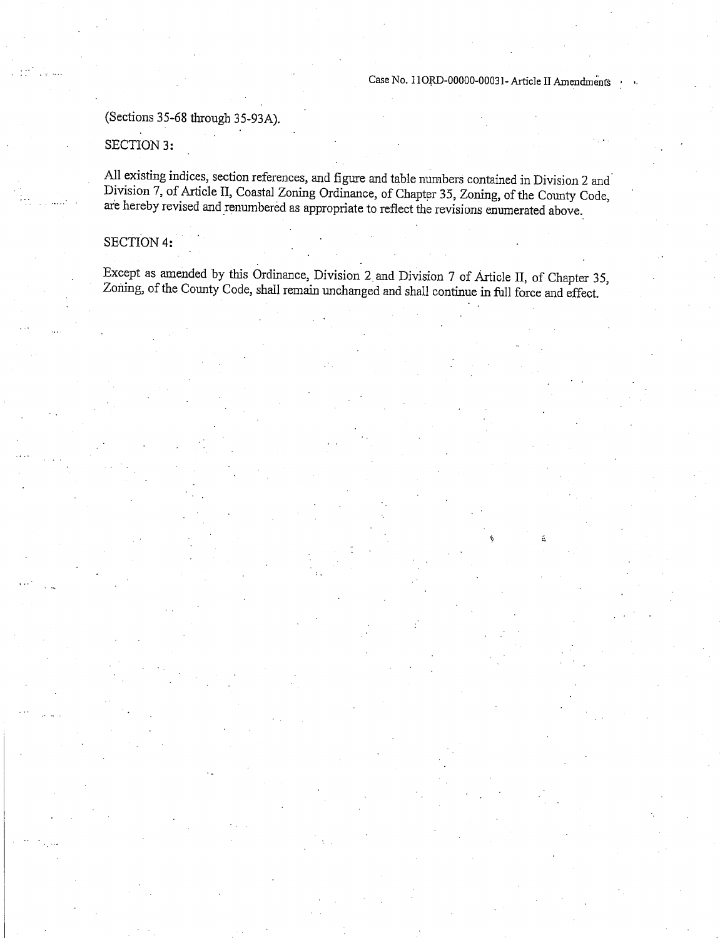### (Sections 35-68 through 35-93A).

## SECTION 3:

سدي

All existing indices, section references, and figure and table numbers contained in Division 2 and Division 7, of Article II, Coastal Zoning Ordinance, of Chapter 35, Zoning, of the County Code, are hereby revised and renumbered as appropriate to reflect the revisions enumerated above.

#### SECTION 4:

Except as amended by this Ordinance, Division 2 and Division 7 of Article II, of Chapter 35, Zoning, of the County Code, shall remain unchanged and shall continue in full force and effect.